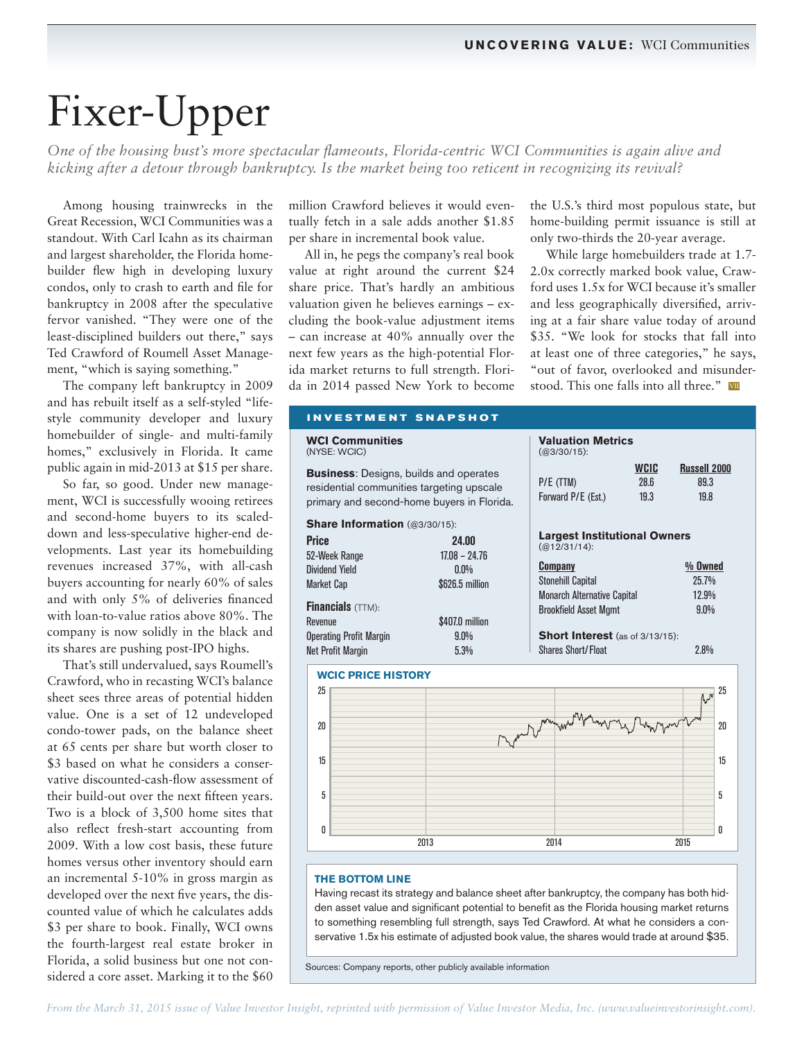## Fixer-Upper

*One of the housing bust's more spectacular flameouts, Florida-centric WCI Communities is again alive and kicking after a detour through bankruptcy. Is the market being too reticent in recognizing its revival?* 

Among housing trainwrecks in the Great Recession, WCI Communities was a standout. With Carl Icahn as its chairman and largest shareholder, the Florida homebuilder flew high in developing luxury condos, only to crash to earth and file for bankruptcy in 2008 after the speculative fervor vanished. "They were one of the least-disciplined builders out there," says Ted Crawford of Roumell Asset Management, "which is saying something."

The company left bankruptcy in 2009 and has rebuilt itself as a self-styled "lifestyle community developer and luxury homebuilder of single- and multi-family homes," exclusively in Florida. It came public again in mid-2013 at \$15 per share.

So far, so good. Under new management, WCI is successfully wooing retirees and second-home buyers to its scaleddown and less-speculative higher-end developments. Last year its homebuilding revenues increased 37%, with all-cash buyers accounting for nearly 60% of sales and with only 5% of deliveries financed with loan-to-value ratios above 80%. The company is now solidly in the black and its shares are pushing post-IPO highs.

That's still undervalued, says Roumell's Crawford, who in recasting WCI's balance sheet sees three areas of potential hidden value. One is a set of 12 undeveloped condo-tower pads, on the balance sheet at 65 cents per share but worth closer to \$3 based on what he considers a conservative discounted-cash-flow assessment of their build-out over the next fifteen years. Two is a block of 3,500 home sites that also reflect fresh-start accounting from 2009. With a low cost basis, these future homes versus other inventory should earn an incremental 5-10% in gross margin as developed over the next five years, the discounted value of which he calculates adds \$3 per share to book. Finally, WCI owns the fourth-largest real estate broker in Florida, a solid business but one not considered a core asset. Marking it to the \$60

million Crawford believes it would eventually fetch in a sale adds another \$1.85 per share in incremental book value.

All in, he pegs the company's real book value at right around the current \$24 share price. That's hardly an ambitious valuation given he believes earnings – excluding the book-value adjustment items – can increase at 40% annually over the next few years as the high-potential Florida market returns to full strength. Florida in 2014 passed New York to become the U.S.'s third most populous state, but home-building permit issuance is still at only two-thirds the 20-year average.

While large homebuilders trade at 1.7- 2.0x correctly marked book value, Crawford uses 1.5x for WCI because it's smaller and less geographically diversified, arriving at a fair share value today of around \$35. "We look for stocks that fall into at least one of three categories," he says, "out of favor, overlooked and misunderstood. This one falls into all three." VIII

| <b>WCI Communities</b><br>(NYSE: WCIC)                                                                                                   | <b>Valuation Metrics</b><br>$(Q3/30/15)$ :                                                          |                                     |
|------------------------------------------------------------------------------------------------------------------------------------------|-----------------------------------------------------------------------------------------------------|-------------------------------------|
| <b>Business:</b> Designs, builds and operates<br>residential communities targeting upscale<br>primary and second-home buyers in Florida. | <b>WCIC</b><br>28.6<br>P/E (TTM)<br>Forward P/E (Est.)<br>19.3                                      | <b>Russell 2000</b><br>89.3<br>19.8 |
| Share Information (@3/30/15):<br><b>Price</b><br>24.00<br>$17.08 - 24.76$<br>52-Week Range                                               | <b>Largest Institutional Owners</b><br>$(Q(12/31/14))$ :                                            |                                     |
| Dividend Yield<br>$0.0\%$<br><b>Market Cap</b><br>\$626.5 million                                                                        | <b>Company</b><br><b>Stonehill Capital</b><br><b>Monarch Alternative Capital</b>                    | $%$ Owned<br>25.7%<br>12.9%         |
| Financials (TTM):<br>\$407.0 million<br>Revenue<br><b>Operating Profit Margin</b><br>$9.0\%$<br><b>Net Profit Margin</b><br>5.3%         | <b>Brookfield Asset Mgmt</b><br><b>Short Interest</b> (as of 3/13/15):<br><b>Shares Short/Float</b> | 9.0%<br>2.8%                        |
| <b>WCIC PRICE HISTORY</b>                                                                                                                |                                                                                                     |                                     |
| 25                                                                                                                                       |                                                                                                     | 25<br>$(h_{\nu}J^{\nu})$            |
| 20                                                                                                                                       |                                                                                                     | 20                                  |
| 15                                                                                                                                       |                                                                                                     | 15                                  |
| 5                                                                                                                                        |                                                                                                     | 5                                   |
| 0<br>2013                                                                                                                                | 2014                                                                                                | U<br>2015                           |

## Having recast its strategy and balance sheet after bankruptcy, the company has both hidden asset value and significant potential to benefit as the Florida housing market returns to something resembling full strength, says Ted Crawford. At what he considers a conservative 1.5x his estimate of adjusted book value, the shares would trade at around \$35.

Sources: Company reports, other publicly available information